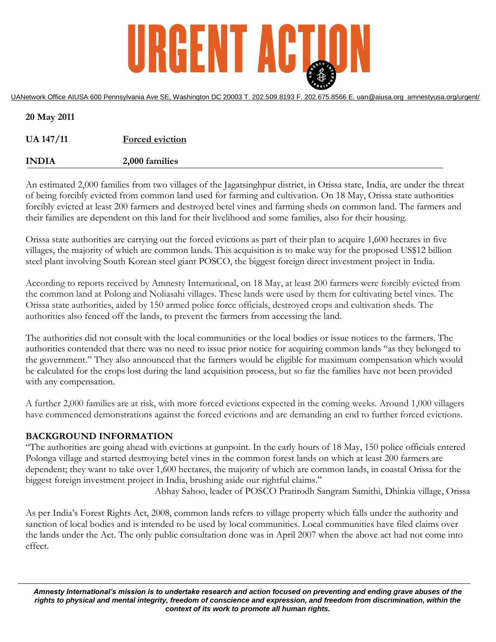

UANetwork Office AIUSA 600 Pennsylvania Ave SE, Washington DC 20003 T. 202.509.8193 F. 202.675.8566 E. uan@aiusa.org amnestyusa.org/urgent/

| 20 May 2011      |                        |
|------------------|------------------------|
| <b>UA 147/11</b> | <b>Forced eviction</b> |
| <b>INDIA</b>     | 2,000 families         |

An estimated 2,000 families from two villages of the Jagatsinghpur district, in Orissa state, India, are under the threat of being forcibly evicted from common land used for farming and cultivation. On 18 May, Orissa state authorities forcibly evicted at least 200 farmers and destroyed betel vines and farming sheds on common land. The farmers and their families are dependent on this land for their livelihood and some families, also for their housing.

Orissa state authorities are carrying out the forced evictions as part of their plan to acquire 1,600 hectares in five villages, the majority of which are common lands. This acquisition is to make way for the proposed US\$12 billion steel plant involving South Korean steel giant POSCO, the biggest foreign direct investment project in India.

According to reports received by Amnesty International, on 18 May, at least 200 farmers were forcibly evicted from the common land at Polong and Noliasahi villages. These lands were used by them for cultivating betel vines. The Orissa state authorities, aided by 150 armed police force officials, destroyed crops and cultivation sheds. The authorities also fenced off the lands, to prevent the farmers from accessing the land.

The authorities did not consult with the local communities or the local bodies or issue notices to the farmers. The authorities contended that there was no need to issue prior notice for acquiring common lands "as they belonged to the government." They also announced that the farmers would be eligible for maximum compensation which would be calculated for the crops lost during the land acquisition process, but so far the families have not been provided with any compensation.

A further 2,000 families are at risk, with more forced evictions expected in the coming weeks. Around 1,000 villagers have commenced demonstrations against the forced evictions and are demanding an end to further forced evictions.

## **BACKGROUND INFORMATION**

"The authorities are going ahead with evictions at gunpoint. In the early hours of 18 May, 150 police officials entered Polonga village and started destroying betel vines in the common forest lands on which at least 200 farmers are dependent; they want to take over 1,600 hectares, the majority of which are common lands, in coastal Orissa for the biggest foreign investment project in India, brushing aside our rightful claims."

Abhay Sahoo, leader of POSCO Pratirodh Sangram Samithi, Dhinkia village, Orissa

As per India's Forest Rights Act, 2008, common lands refers to village property which falls under the authority and sanction of local bodies and is intended to be used by local communities. Local communities have filed claims over the lands under the Act. The only public consultation done was in April 2007 when the above act had not come into effect.

*Amnesty International's mission is to undertake research and action focused on preventing and ending grave abuses of the rights to physical and mental integrity, freedom of conscience and expression, and freedom from discrimination, within the context of its work to promote all human rights.*